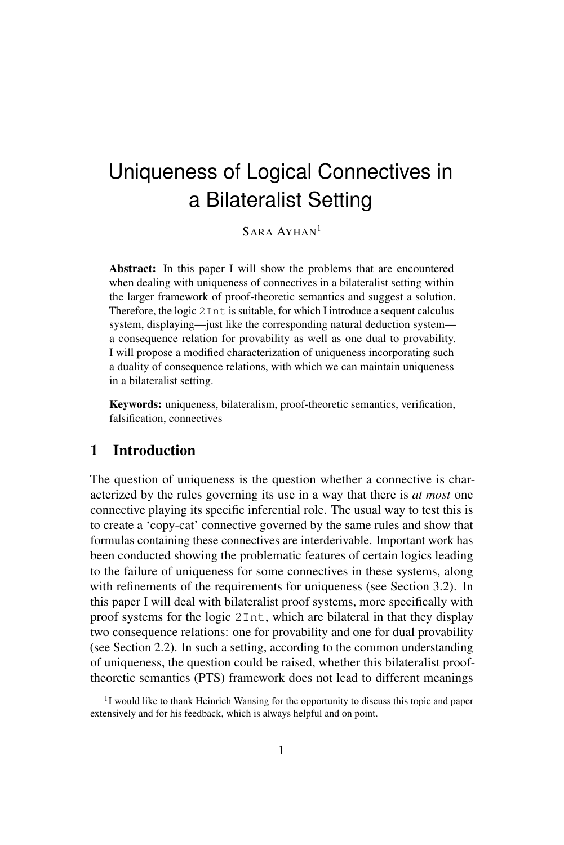SARA AYHAN<sup>1</sup>

Abstract: In this paper I will show the problems that are encountered when dealing with uniqueness of connectives in a bilateralist setting within the larger framework of proof-theoretic semantics and suggest a solution. Therefore, the logic 2Int is suitable, for which I introduce a sequent calculus system, displaying—just like the corresponding natural deduction system a consequence relation for provability as well as one dual to provability. I will propose a modified characterization of uniqueness incorporating such a duality of consequence relations, with which we can maintain uniqueness in a bilateralist setting.

Keywords: uniqueness, bilateralism, proof-theoretic semantics, verification, falsification, connectives

# 1 Introduction

The question of uniqueness is the question whether a connective is characterized by the rules governing its use in a way that there is *at most* one connective playing its specific inferential role. The usual way to test this is to create a 'copy-cat' connective governed by the same rules and show that formulas containing these connectives are interderivable. Important work has been conducted showing the problematic features of certain logics leading to the failure of uniqueness for some connectives in these systems, along with refinements of the requirements for uniqueness (see Section 3.2). In this paper I will deal with bilateralist proof systems, more specifically with proof systems for the logic 2Int, which are bilateral in that they display two consequence relations: one for provability and one for dual provability (see Section 2.2). In such a setting, according to the common understanding of uniqueness, the question could be raised, whether this bilateralist prooftheoretic semantics (PTS) framework does not lead to different meanings

<sup>&</sup>lt;sup>1</sup>I would like to thank Heinrich Wansing for the opportunity to discuss this topic and paper extensively and for his feedback, which is always helpful and on point.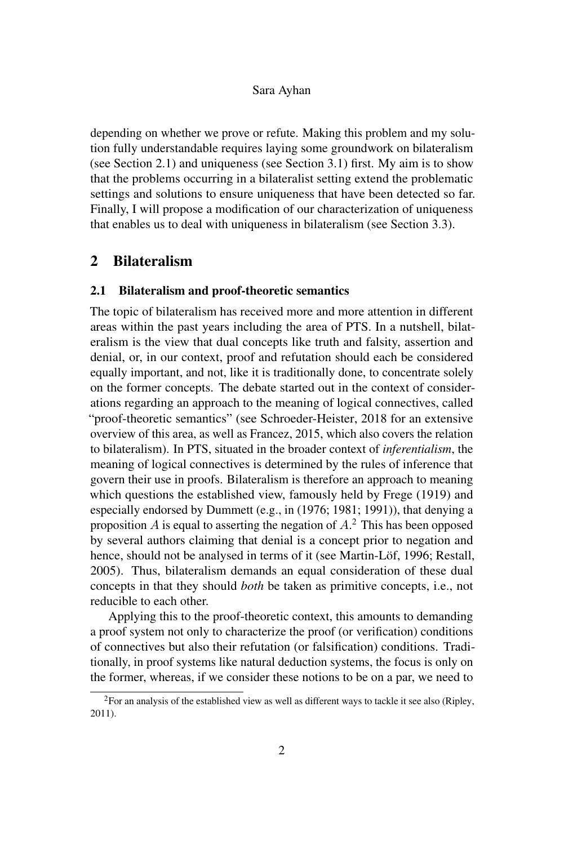depending on whether we prove or refute. Making this problem and my solution fully understandable requires laying some groundwork on bilateralism (see Section 2.1) and uniqueness (see Section 3.1) first. My aim is to show that the problems occurring in a bilateralist setting extend the problematic settings and solutions to ensure uniqueness that have been detected so far. Finally, I will propose a modification of our characterization of uniqueness that enables us to deal with uniqueness in bilateralism (see Section 3.3).

# 2 Bilateralism

## 2.1 Bilateralism and proof-theoretic semantics

The topic of bilateralism has received more and more attention in different areas within the past years including the area of PTS. In a nutshell, bilateralism is the view that dual concepts like truth and falsity, assertion and denial, or, in our context, proof and refutation should each be considered equally important, and not, like it is traditionally done, to concentrate solely on the former concepts. The debate started out in the context of considerations regarding an approach to the meaning of logical connectives, called "proof-theoretic semantics" (see Schroeder-Heister, 2018 for an extensive overview of this area, as well as Francez, 2015, which also covers the relation to bilateralism). In PTS, situated in the broader context of *inferentialism*, the meaning of logical connectives is determined by the rules of inference that govern their use in proofs. Bilateralism is therefore an approach to meaning which questions the established view, famously held by Frege (1919) and especially endorsed by Dummett (e.g., in (1976; 1981; 1991)), that denying a proposition A is equal to asserting the negation of  $A$ .<sup>2</sup> This has been opposed by several authors claiming that denial is a concept prior to negation and hence, should not be analysed in terms of it (see Martin-Löf, 1996; Restall, 2005). Thus, bilateralism demands an equal consideration of these dual concepts in that they should *both* be taken as primitive concepts, i.e., not reducible to each other.

Applying this to the proof-theoretic context, this amounts to demanding a proof system not only to characterize the proof (or verification) conditions of connectives but also their refutation (or falsification) conditions. Traditionally, in proof systems like natural deduction systems, the focus is only on the former, whereas, if we consider these notions to be on a par, we need to

 ${}^{2}$ For an analysis of the established view as well as different ways to tackle it see also (Ripley, 2011).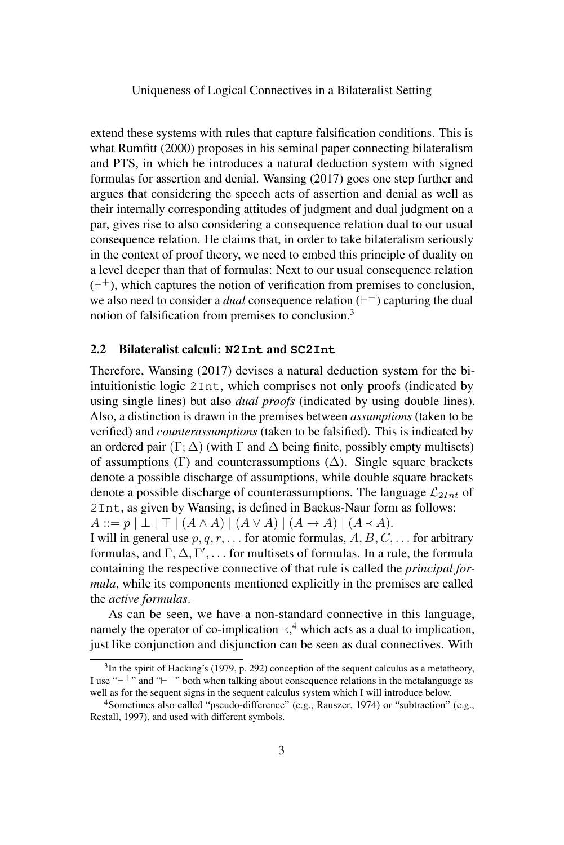extend these systems with rules that capture falsification conditions. This is what Rumfitt (2000) proposes in his seminal paper connecting bilateralism and PTS, in which he introduces a natural deduction system with signed formulas for assertion and denial. Wansing (2017) goes one step further and argues that considering the speech acts of assertion and denial as well as their internally corresponding attitudes of judgment and dual judgment on a par, gives rise to also considering a consequence relation dual to our usual consequence relation. He claims that, in order to take bilateralism seriously in the context of proof theory, we need to embed this principle of duality on a level deeper than that of formulas: Next to our usual consequence relation  $($  $\vdash$ <sup> $+$ </sup>), which captures the notion of verification from premises to conclusion, we also need to consider a *dual* consequence relation  $( \vdash^{-} )$  capturing the dual notion of falsification from premises to conclusion.<sup>3</sup>

#### 2.2 Bilateralist calculi: **N2Int** and **SC2Int**

Therefore, Wansing (2017) devises a natural deduction system for the biintuitionistic logic 2Int, which comprises not only proofs (indicated by using single lines) but also *dual proofs* (indicated by using double lines). Also, a distinction is drawn in the premises between *assumptions* (taken to be verified) and *counterassumptions* (taken to be falsified). This is indicated by an ordered pair  $(\Gamma; \Delta)$  (with  $\Gamma$  and  $\Delta$  being finite, possibly empty multisets) of assumptions (Γ) and counterassumptions ( $\Delta$ ). Single square brackets denote a possible discharge of assumptions, while double square brackets denote a possible discharge of counterassumptions. The language  $\mathcal{L}_{2Int}$  of 2Int, as given by Wansing, is defined in Backus-Naur form as follows:  $A ::= p | \perp | \perp | (A \wedge A) | (A \vee A) | (A \rightarrow A) | (A \prec A).$ 

I will in general use  $p, q, r, \ldots$  for atomic formulas,  $A, B, C, \ldots$  for arbitrary formulas, and  $\Gamma, \Delta, \Gamma', \ldots$  for multisets of formulas. In a rule, the formula containing the respective connective of that rule is called the *principal formula*, while its components mentioned explicitly in the premises are called the *active formulas*.

As can be seen, we have a non-standard connective in this language, namely the operator of co-implication  $\prec$ <sup>4</sup>, which acts as a dual to implication, inst like conjunction and disjunction can be seen as dual connectives. With just like conjunction and disjunction can be seen as dual connectives. With

 $3$ In the spirit of Hacking's (1979, p. 292) conception of the sequent calculus as a metatheory, I use "<sup> $+$ </sup>" and "<sup> $-$ </sup>" both when talking about consequence relations in the metalanguage as well as for the sequent signs in the sequent calculus system which I will introduce below.

<sup>&</sup>lt;sup>4</sup>Sometimes also called "pseudo-difference" (e.g., Rauszer, 1974) or "subtraction" (e.g., Restall, 1997), and used with different symbols.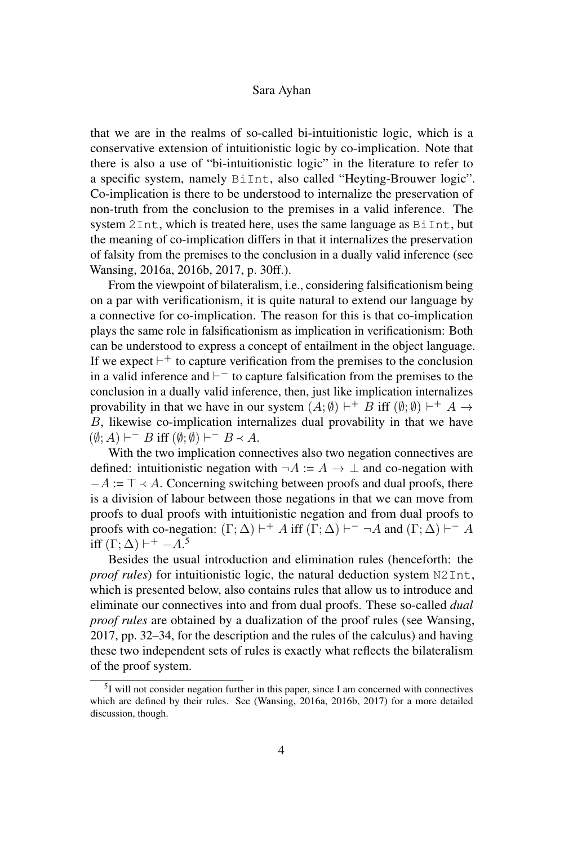that we are in the realms of so-called bi-intuitionistic logic, which is a conservative extension of intuitionistic logic by co-implication. Note that there is also a use of "bi-intuitionistic logic" in the literature to refer to a specific system, namely BiInt, also called "Heyting-Brouwer logic". Co-implication is there to be understood to internalize the preservation of non-truth from the conclusion to the premises in a valid inference. The system 2Int, which is treated here, uses the same language as BiInt, but the meaning of co-implication differs in that it internalizes the preservation of falsity from the premises to the conclusion in a dually valid inference (see Wansing, 2016a, 2016b, 2017, p. 30ff.).

From the viewpoint of bilateralism, i.e., considering falsificationism being on a par with verificationism, it is quite natural to extend our language by a connective for co-implication. The reason for this is that co-implication plays the same role in falsificationism as implication in verificationism: Both can be understood to express a concept of entailment in the object language. If we expect  $\vdash^+$  to capture verification from the premises to the conclusion in a valid inference and  $\vdash^-$  to capture falsification from the premises to the conclusion in a dually valid inference, then, just like implication internalizes provability in that we have in our system  $(A; \emptyset) \vdash^{+} B$  iff  $(\emptyset; \emptyset) \vdash^{+} A \rightarrow$ B, likewise co-implication internalizes dual provability in that we have  $(\emptyset; A) \vdash^{-} B$  iff  $(\emptyset; \emptyset) \vdash^{-} B \prec A$ .<br>With the two implication com-

With the two implication connectives also two negation connectives are defined: intuitionistic negation with  $\neg A := A \rightarrow \bot$  and co-negation with  $-A := \top \prec A$ . Concerning switching between proofs and dual proofs, there is a division of labour between those negations in that we can move from proofs to dual proofs with intuitionistic negation and from dual proofs to proofs with co-negation:  $(\Gamma; \Delta) \vdash^+ A$  iff  $(\Gamma; \Delta) \vdash^- \neg A$  and  $(\Gamma; \Delta) \vdash^- A$ iff  $(\Gamma; \Delta) \vdash^{+} -A.5$ 

Besides the usual introduction and elimination rules (henceforth: the *proof rules*) for intuitionistic logic, the natural deduction system N2Int, which is presented below, also contains rules that allow us to introduce and eliminate our connectives into and from dual proofs. These so-called *dual proof rules* are obtained by a dualization of the proof rules (see Wansing, 2017, pp. 32–34, for the description and the rules of the calculus) and having these two independent sets of rules is exactly what reflects the bilateralism of the proof system.

<sup>&</sup>lt;sup>5</sup>I will not consider negation further in this paper, since I am concerned with connectives which are defined by their rules. See (Wansing, 2016a, 2016b, 2017) for a more detailed discussion, though.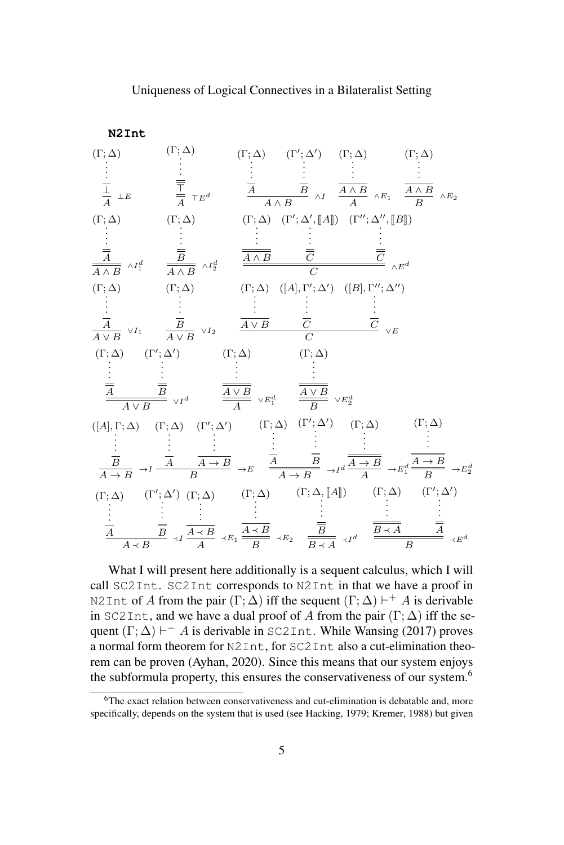

What I will present here additionally is a sequent calculus, which I will call SC2Int. SC2Int corresponds to N2Int in that we have a proof in N2Int of A from the pair  $(\Gamma; \Delta)$  iff the sequent  $(\Gamma; \Delta) \vdash^{+} A$  is derivable in SC2Int, and we have a dual proof of A from the pair  $(\Gamma; \Delta)$  iff the sequent  $(\Gamma; \Delta) \vdash^{-} A$  is derivable in SC2Int. While Wansing (2017) proves a normal form theorem for N2Int, for SC2Int also a cut-elimination theorem can be proven (Ayhan, 2020). Since this means that our system enjoys the subformula property, this ensures the conservativeness of our system.<sup>6</sup>

 $6$ The exact relation between conservativeness and cut-elimination is debatable and, more specifically, depends on the system that is used (see Hacking, 1979; Kremer, 1988) but given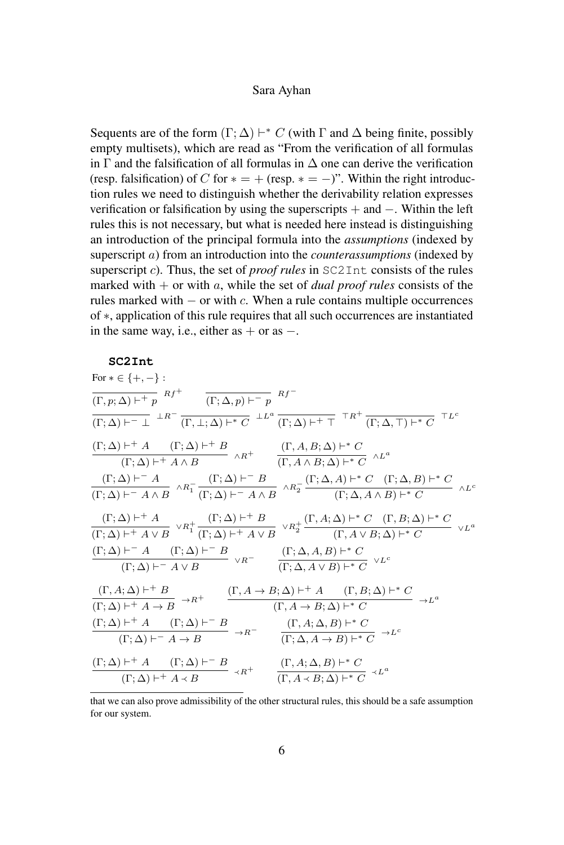Sequents are of the form  $(\Gamma; \Delta) \vdash^* C$  (with  $\Gamma$  and  $\Delta$  being finite, possibly empty multisets), which are read as "From the verification of all formulas in  $\Gamma$  and the falsification of all formulas in  $\Delta$  one can derive the verification (resp. falsification) of C for  $* = +$  (resp.  $* = -$ )". Within the right introduction rules we need to distinguish whether the derivability relation expresses verification or falsification by using the superscripts + and −. Within the left rules this is not necessary, but what is needed here instead is distinguishing an introduction of the principal formula into the *assumptions* (indexed by superscript a) from an introduction into the *counterassumptions* (indexed by superscript c). Thus, the set of *proof rules* in SC2Int consists of the rules marked with  $+$  or with a, while the set of *dual proof rules* consists of the rules marked with  $-$  or with  $c$ . When a rule contains multiple occurrences of ∗, application of this rule requires that all such occurrences are instantiated in the same way, i.e., either as  $+$  or as  $-$ .

#### **SC2Int**

| For $* \in \{+, -\}$ :                                                                                                                                                                                                                                                                                    |
|-----------------------------------------------------------------------------------------------------------------------------------------------------------------------------------------------------------------------------------------------------------------------------------------------------------|
| $\overline{(\Gamma,p;\Delta) \vdash^{+} p}$ $Rf^{+}$ $\overline{(\Gamma;\Delta,p) \vdash^{-} p}$ $Rf^{-}$                                                                                                                                                                                                 |
| $\overline{(\Gamma;\Delta) \vdash^{-} \bot} \xrightarrow{\perp R^-} \overline{(\Gamma,\perp;\Delta) \vdash^* C} \xrightarrow{\perp L^a} \overline{(\Gamma;\Delta) \vdash^+ \top} \tau R^+ \frac{}{(\Gamma;\Delta,\top) \vdash^* C} \tau L^c$                                                              |
| $\frac{(\Gamma; \Delta) \vdash^{+} A \qquad (\Gamma; \Delta) \vdash^{+} B}{(\Gamma; \Delta) \vdash^{+} A \wedge B} \quad \wedge R^{+} \qquad \frac{(\Gamma, A, B; \Delta) \vdash^{*} C}{(\Gamma, A \wedge B; \Delta) \vdash^{*} C} \quad \wedge L^{a}$                                                    |
| $\frac{(\Gamma;\Delta)\vdash^{-} A}{(\Gamma;\Delta)\vdash^{-} A \wedge B} \wedge R_1^- \frac{(\Gamma;\Delta)\vdash^{-} B}{(\Gamma;\Delta)\vdash^{-} A \wedge B} \wedge R_2^- \frac{(\Gamma;\Delta,A)\vdash^{*} C \quad (\Gamma;\Delta,B)\vdash^{*} C}{(\Gamma;\Delta,A \wedge B)\vdash^{*} C} \wedge L^c$ |
| $\frac{(\Gamma;\Delta)\vdash^{+} A}{(\Gamma;\Delta)\vdash^{+} A\vee B} \vee R_{1}^{+} \frac{(\Gamma;\Delta)\vdash^{+} B}{(\Gamma;\Delta)\vdash^{+} A\vee B} \vee R_{2}^{+} \frac{(\Gamma,A;\Delta)\vdash^{*} C \quad (\Gamma,B;\Delta)\vdash^{*} C}{(\Gamma,A\vee B;\Delta)\vdash^{*} C} \vee L^{a}$      |
| $\frac{(\Gamma; \Delta) \vdash^{-} A \qquad (\Gamma; \Delta) \vdash^{-} B}{(\Gamma; \Delta) \vdash^{-} A \vee B} \ \vee R^{-} \qquad \frac{(\Gamma; \Delta, A, B) \vdash^{*} C}{(\Gamma; \Delta, A \vee B) \vdash^{*} C} \ \vee L^{c}$                                                                    |
| $\frac{(\Gamma, A; \Delta) \vdash^{+} B}{(\Gamma, \Delta) \vdash^{+} A \to B} \to R^{+} \qquad \frac{(\Gamma, A \to B; \Delta) \vdash^{+} A \qquad (\Gamma, B; \Delta) \vdash^{*} C}{(\Gamma, A \to B; \Delta) \vdash^{*} C} \to L^{a}$                                                                   |
| $\frac{(\Gamma;\Delta)\vdash^{+} A \qquad (\Gamma;\Delta)\vdash^{-} B}{(\Gamma;\Delta)\vdash^{-} A \to B} \to R^{-} \qquad \frac{(\Gamma,A;\Delta,B)\vdash^{*} C}{(\Gamma;\Delta,A \to B)\vdash^{*} C} \to L^{c}$                                                                                         |
| $\frac{(\Gamma;\Delta)\vdash^+ A \qquad (\Gamma;\Delta)\vdash^- B}{(\Gamma;\Delta)\vdash^+ A \prec B} \prec R^+ \qquad \frac{(\Gamma,A;\Delta,B)\vdash^* C}{(\Gamma,A \prec B;\Delta)\vdash^* C} \prec L^a$                                                                                               |

that we can also prove admissibility of the other structural rules, this should be a safe assumption for our system.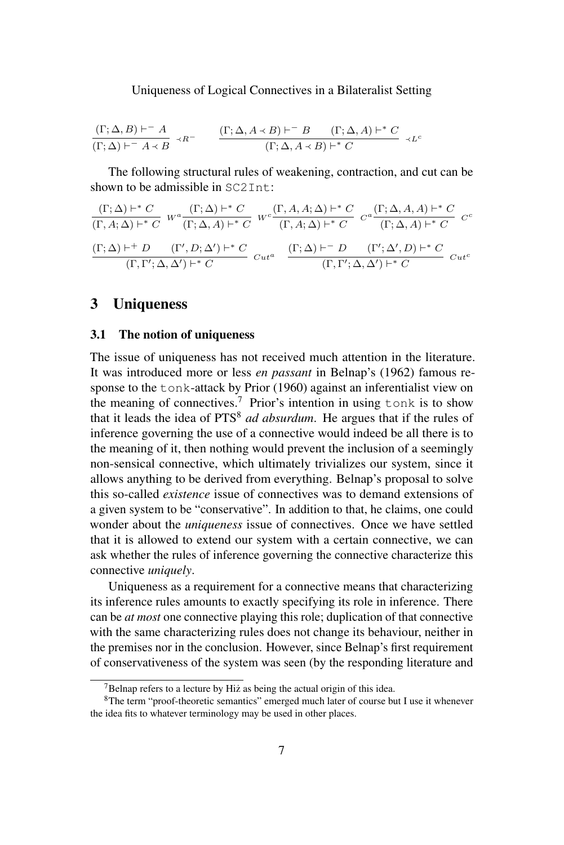$$
\frac{(\Gamma; \Delta, B) \vdash^{-} A}{(\Gamma; \Delta) \vdash^{-} A \prec B} \prec R^{-} \qquad \frac{(\Gamma; \Delta, A \prec B) \vdash^{-} B \qquad (\Gamma; \Delta, A) \vdash^{*} C}{(\Gamma; \Delta, A \prec B) \vdash^{*} C} \prec L^{c}
$$

The following structural rules of weakening, contraction, and cut can be shown to be admissible in  $SCDInt$ .

$$
\frac{(\Gamma;\Delta)\vdash^{*}C}{(\Gamma,A;\Delta)\vdash^{*}C} W^{a}\frac{(\Gamma;\Delta)\vdash^{*}C}{(\Gamma;\Delta,A)\vdash^{*}C} W^{c}\frac{(\Gamma,A,A;\Delta)\vdash^{*}C}{(\Gamma,A;\Delta)\vdash^{*}C} C^{a}\frac{(\Gamma;\Delta,A,A)\vdash^{*}C}{(\Gamma;\Delta,A)\vdash^{*}C} C^{c}
$$

$$
\frac{(\Gamma;\Delta)\vdash^{+}D}{(\Gamma,\Gamma';\Delta,\Delta')\vdash^{*}C} C_{ut^{a}} \frac{(\Gamma;\Delta)\vdash^{-}D}{(\Gamma,\Gamma';\Delta,\Delta')\vdash^{*}C} C_{ut^{c}}
$$

# 3 Uniqueness

#### 3.1 The notion of uniqueness

The issue of uniqueness has not received much attention in the literature. It was introduced more or less *en passant* in Belnap's (1962) famous response to the tonk-attack by Prior (1960) against an inferentialist view on the meaning of connectives.<sup>7</sup> Prior's intention in using  $\text{t}$  onk is to show that it leads the idea of PTS<sup>8</sup> *ad absurdum*. He argues that if the rules of inference governing the use of a connective would indeed be all there is to the meaning of it, then nothing would prevent the inclusion of a seemingly non-sensical connective, which ultimately trivializes our system, since it allows anything to be derived from everything. Belnap's proposal to solve this so-called *existence* issue of connectives was to demand extensions of a given system to be "conservative". In addition to that, he claims, one could wonder about the *uniqueness* issue of connectives. Once we have settled that it is allowed to extend our system with a certain connective, we can ask whether the rules of inference governing the connective characterize this connective *uniquely*.

Uniqueness as a requirement for a connective means that characterizing its inference rules amounts to exactly specifying its role in inference. There can be *at most* one connective playing this role; duplication of that connective with the same characterizing rules does not change its behaviour, neither in the premises nor in the conclusion. However, since Belnap's first requirement of conservativeness of the system was seen (by the responding literature and

 $7$ Belnap refers to a lecture by Hiz as being the actual origin of this idea.

<sup>8</sup>The term "proof-theoretic semantics" emerged much later of course but I use it whenever the idea fits to whatever terminology may be used in other places.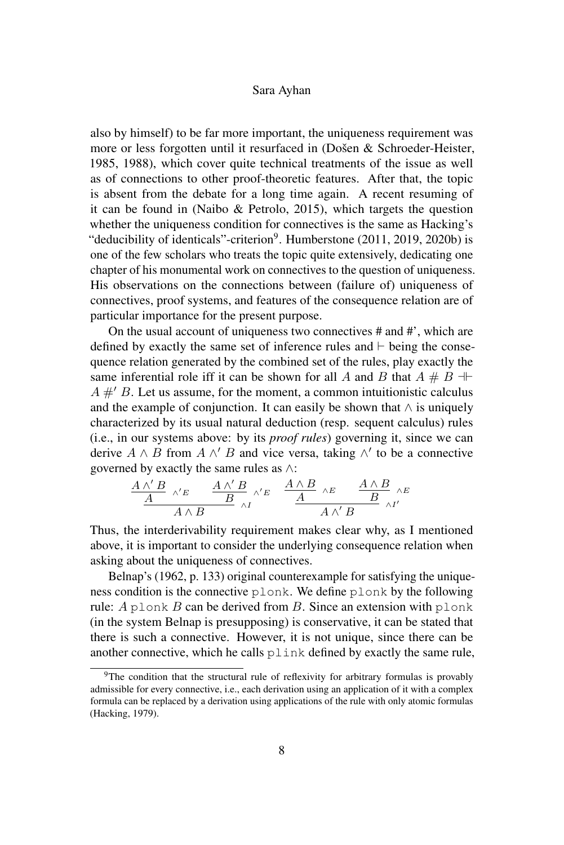also by himself) to be far more important, the uniqueness requirement was more or less forgotten until it resurfaced in (Došen & Schroeder-Heister, 1985, 1988), which cover quite technical treatments of the issue as well as of connections to other proof-theoretic features. After that, the topic is absent from the debate for a long time again. A recent resuming of it can be found in (Naibo & Petrolo, 2015), which targets the question whether the uniqueness condition for connectives is the same as Hacking's "deducibility of identicals"-criterion<sup>9</sup>. Humberstone (2011, 2019, 2020b) is one of the few scholars who treats the topic quite extensively, dedicating one chapter of his monumental work on connectives to the question of uniqueness. His observations on the connections between (failure of) uniqueness of connectives, proof systems, and features of the consequence relation are of particular importance for the present purpose.

On the usual account of uniqueness two connectives # and #', which are defined by exactly the same set of inference rules and  $\vdash$  being the consequence relation generated by the combined set of the rules, play exactly the same inferential role iff it can be shown for all A and B that  $A \# B \dashv \vdash$  $A \#$  B. Let us assume, for the moment, a common intuitionistic calculus and the example of conjunction. It can easily be shown that  $\land$  is uniquely characterized by its usual natural deduction (resp. sequent calculus) rules (i.e., in our systems above: by its *proof rules*) governing it, since we can derive  $A \wedge B$  from  $A \wedge' B$  and vice versa, taking  $\wedge'$  to be a connective governed by exactly the same rules as ∧:

$$
\begin{array}{ccccc}\underline{A\wedge'B}&\wedge' E\\ \underline{A}&\underline{A\wedge B}&\wedge' E\\ \end{array}\begin{array}{ccccc}\underline{A\wedge B}&\wedge' E&\underline{A\wedge B}&\wedge E\\ \hline A&\underline{A}&\underline{A\wedge' B}&\wedge I'\end{array}
$$

Thus, the interderivability requirement makes clear why, as I mentioned above, it is important to consider the underlying consequence relation when asking about the uniqueness of connectives.

Belnap's (1962, p. 133) original counterexample for satisfying the uniqueness condition is the connective plonk. We define plonk by the following rule:  $A$  plonk  $B$  can be derived from  $B$ . Since an extension with plonk (in the system Belnap is presupposing) is conservative, it can be stated that there is such a connective. However, it is not unique, since there can be another connective, which he calls plink defined by exactly the same rule,

<sup>&</sup>lt;sup>9</sup>The condition that the structural rule of reflexivity for arbitrary formulas is provably admissible for every connective, i.e., each derivation using an application of it with a complex formula can be replaced by a derivation using applications of the rule with only atomic formulas (Hacking, 1979).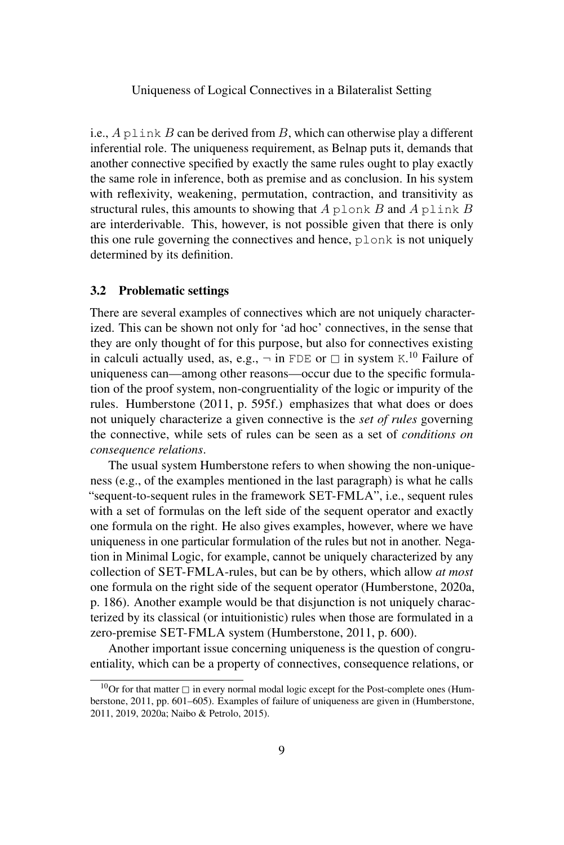i.e.,  $A$  plink  $B$  can be derived from  $B$ , which can otherwise play a different inferential role. The uniqueness requirement, as Belnap puts it, demands that another connective specified by exactly the same rules ought to play exactly the same role in inference, both as premise and as conclusion. In his system with reflexivity, weakening, permutation, contraction, and transitivity as structural rules, this amounts to showing that  $A$  plonk  $B$  and  $A$  plink  $B$ are interderivable. This, however, is not possible given that there is only this one rule governing the connectives and hence, plonk is not uniquely determined by its definition.

#### 3.2 Problematic settings

There are several examples of connectives which are not uniquely characterized. This can be shown not only for 'ad hoc' connectives, in the sense that they are only thought of for this purpose, but also for connectives existing in calculi actually used, as, e.g.,  $\neg$  in FDE or  $\square$  in system K.<sup>10</sup> Failure of uniquaness can among other reasons occur due to the specific formula uniqueness can—among other reasons—occur due to the specific formulation of the proof system, non-congruentiality of the logic or impurity of the rules. Humberstone (2011, p. 595f.) emphasizes that what does or does not uniquely characterize a given connective is the *set of rules* governing the connective, while sets of rules can be seen as a set of *conditions on consequence relations*.

The usual system Humberstone refers to when showing the non-uniqueness (e.g., of the examples mentioned in the last paragraph) is what he calls "sequent-to-sequent rules in the framework SET-FMLA", i.e., sequent rules with a set of formulas on the left side of the sequent operator and exactly one formula on the right. He also gives examples, however, where we have uniqueness in one particular formulation of the rules but not in another. Negation in Minimal Logic, for example, cannot be uniquely characterized by any collection of SET-FMLA-rules, but can be by others, which allow *at most* one formula on the right side of the sequent operator (Humberstone, 2020a, p. 186). Another example would be that disjunction is not uniquely characterized by its classical (or intuitionistic) rules when those are formulated in a zero-premise SET-FMLA system (Humberstone, 2011, p. 600).

Another important issue concerning uniqueness is the question of congruentiality, which can be a property of connectives, consequence relations, or

<sup>&</sup>lt;sup>10</sup>Or for that matter  $\Box$  in every normal modal logic except for the Post-complete ones (Humberstone, 2011, pp. 601–605). Examples of failure of uniqueness are given in (Humberstone, 2011, 2019, 2020a; Naibo & Petrolo, 2015).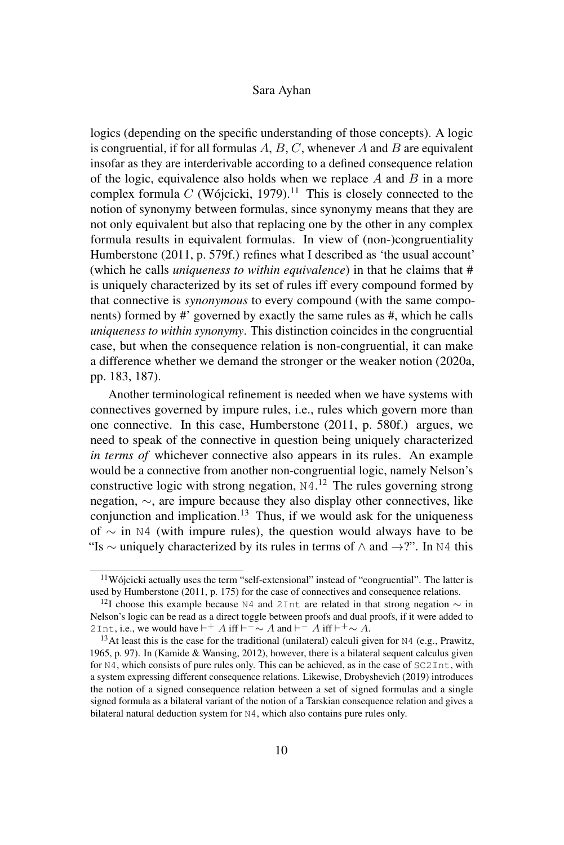logics (depending on the specific understanding of those concepts). A logic is congruential, if for all formulas  $A, B, C$ , whenever  $A$  and  $B$  are equivalent insofar as they are interderivable according to a defined consequence relation of the logic, equivalence also holds when we replace  $A$  and  $B$  in a more complex formula C (Wójcicki, 1979).<sup>11</sup> This is closely connected to the notion of synonymy between formulas, since synonymy means that they are not only equivalent but also that replacing one by the other in any complex formula results in equivalent formulas. In view of (non-)congruentiality Humberstone (2011, p. 579f.) refines what I described as 'the usual account' (which he calls *uniqueness to within equivalence*) in that he claims that # is uniquely characterized by its set of rules iff every compound formed by that connective is *synonymous* to every compound (with the same components) formed by #' governed by exactly the same rules as #, which he calls *uniqueness to within synonymy*. This distinction coincides in the congruential case, but when the consequence relation is non-congruential, it can make a difference whether we demand the stronger or the weaker notion (2020a, pp. 183, 187).

Another terminological refinement is needed when we have systems with connectives governed by impure rules, i.e., rules which govern more than one connective. In this case, Humberstone (2011, p. 580f.) argues, we need to speak of the connective in question being uniquely characterized *in terms of* whichever connective also appears in its rules. An example would be a connective from another non-congruential logic, namely Nelson's constructive logic with strong negation,  $N4$ .<sup>12</sup> The rules governing strong negation, ∼, are impure because they also display other connectives, like conjunction and implication.<sup>13</sup> Thus, if we would ask for the uniqueness of  $\sim$  in N4 (with impure rules), the question would always have to be "Is  $\sim$  uniquely characterized by its rules in terms of  $\land$  and  $\rightarrow$ ?". In N4 this

<sup>11</sup>Wójcicki actually uses the term "self-extensional" instead of "congruential". The latter is used by Humberstone (2011, p. 175) for the case of connectives and consequence relations.

<sup>&</sup>lt;sup>12</sup>I choose this example because N4 and 2Int are related in that strong negation  $\sim$  in Nelson's logic can be read as a direct toggle between proofs and dual proofs, if it were added to 2Int, i.e., we would have  $\vdash^+ A$  iff  $\vdash^- \sim A$  and  $\vdash^- A$  iff  $\vdash^+ \sim A$ .

<sup>&</sup>lt;sup>13</sup>At least this is the case for the traditional (unilateral) calculi given for  $N4$  (e.g., Prawitz, 1965, p. 97). In (Kamide & Wansing, 2012), however, there is a bilateral sequent calculus given for N4, which consists of pure rules only. This can be achieved, as in the case of SC2Int, with a system expressing different consequence relations. Likewise, Drobyshevich (2019) introduces the notion of a signed consequence relation between a set of signed formulas and a single signed formula as a bilateral variant of the notion of a Tarskian consequence relation and gives a bilateral natural deduction system for N4, which also contains pure rules only.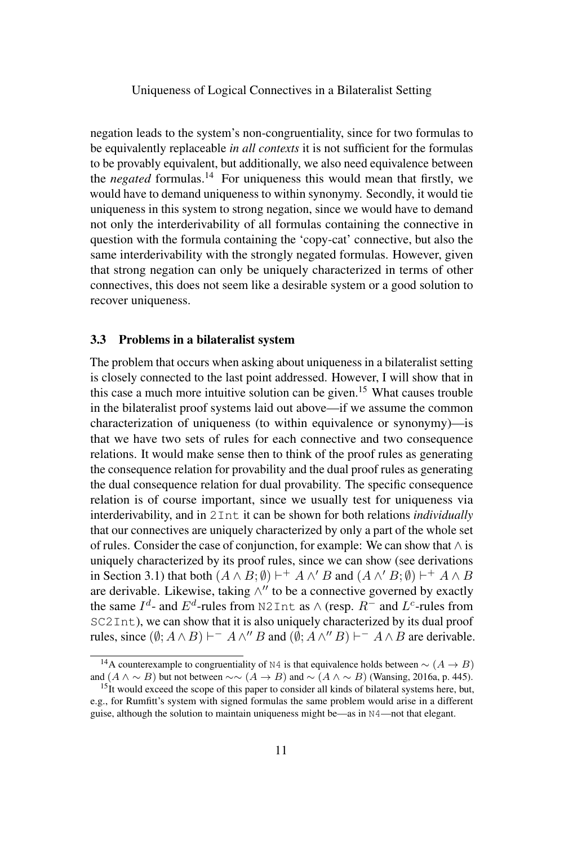negation leads to the system's non-congruentiality, since for two formulas to be equivalently replaceable *in all contexts* it is not sufficient for the formulas to be provably equivalent, but additionally, we also need equivalence between the *negated* formulas.<sup>14</sup> For uniqueness this would mean that firstly, we would have to demand uniqueness to within synonymy. Secondly, it would tie uniqueness in this system to strong negation, since we would have to demand not only the interderivability of all formulas containing the connective in question with the formula containing the 'copy-cat' connective, but also the same interderivability with the strongly negated formulas. However, given that strong negation can only be uniquely characterized in terms of other connectives, this does not seem like a desirable system or a good solution to recover uniqueness.

#### 3.3 Problems in a bilateralist system

The problem that occurs when asking about uniqueness in a bilateralist setting is closely connected to the last point addressed. However, I will show that in this case a much more intuitive solution can be given.<sup>15</sup> What causes trouble in the bilateralist proof systems laid out above—if we assume the common characterization of uniqueness (to within equivalence or synonymy)—is that we have two sets of rules for each connective and two consequence relations. It would make sense then to think of the proof rules as generating the consequence relation for provability and the dual proof rules as generating the dual consequence relation for dual provability. The specific consequence relation is of course important, since we usually test for uniqueness via interderivability, and in 2Int it can be shown for both relations *individually* that our connectives are uniquely characterized by only a part of the whole set of rules. Consider the case of conjunction, for example: We can show that  $\wedge$  is uniquely characterized by its proof rules, since we can show (see derivations in Section 3.1) that both  $(A \wedge B; \emptyset) \vdash^+ A \wedge' B$  and  $(A \wedge' B; \emptyset) \vdash^+ A \wedge B$ are derivable. Likewise, taking  $\wedge''$  to be a connective governed by exactly the same  $I^d$ - and  $E^d$ -rules from N2Int as  $\wedge$  (resp.  $R^-$  and  $L^c$ -rules from SC2Int), we can show that it is also uniquely characterized by its dual proof rules, since  $(\emptyset; A \wedge B) \vdash^{-} A \wedge'' B$  and  $(\emptyset; A \wedge'' B) \vdash^{-} A \wedge B$  are derivable.

<sup>&</sup>lt;sup>14</sup>A counterexample to congruentiality of N4 is that equivalence holds between  $\sim (A \rightarrow B)$ and  $(A \land \sim B)$  but not between  $\sim \sim (A \to B)$  and  $\sim (A \land \sim B)$  (Wansing, 2016a, p. 445).

 $15$ It would exceed the scope of this paper to consider all kinds of bilateral systems here, but, e.g., for Rumfitt's system with signed formulas the same problem would arise in a different guise, although the solution to maintain uniqueness might be—as in N4—not that elegant.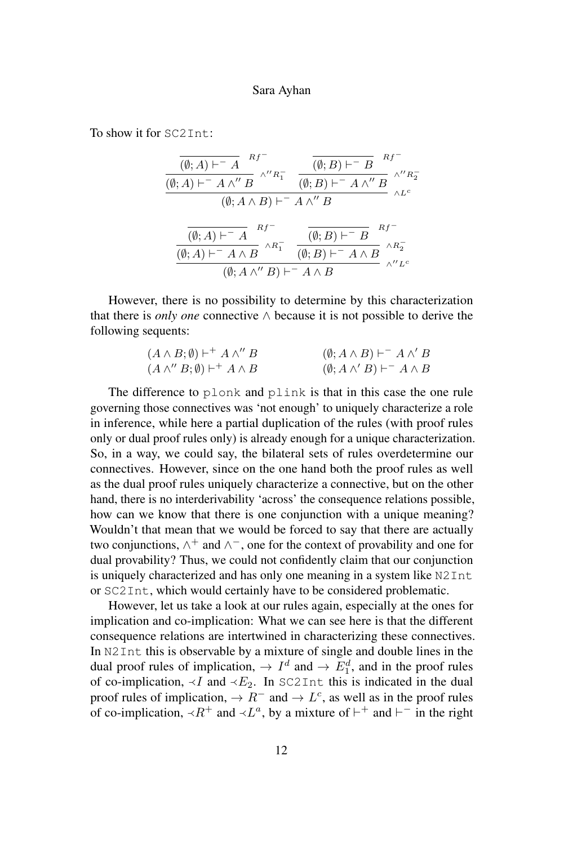To show it for SC2Int:

$$
\frac{\overline{(\emptyset; A) \vdash^{-} A}^{Rf^{-}}}{(\emptyset; A) \vdash^{-} A \wedge'' B} \wedge'' R_{1}^{-} \quad \overline{(\emptyset; B) \vdash^{-} B}^{Rf^{-}} \wedge'' R_{2}^{-}
$$
\n
$$
(\emptyset; A \wedge B) \vdash^{-} A \wedge'' B \wedge'' R_{2}^{-}
$$
\n
$$
\frac{\overline{(\emptyset; A) \vdash^{-} A}^{Rf^{-}}}{(\emptyset; A) \vdash^{-} A \wedge B} \wedge R_{1}^{-} \quad \overline{(\emptyset; B) \vdash^{-} B}^{Rf^{-}} \wedge R_{2}^{-}
$$
\n
$$
\frac{\overline{(\emptyset; A) \vdash^{-} A \wedge B}^{Rf^{-}}}{(\emptyset; B) \vdash^{-} A \wedge B} \wedge R_{2}^{-} \wedge'' R_{2}^{-}}}{(\emptyset; A \wedge'' B) \vdash^{-} A \wedge B} \wedge'' L^{c}
$$

However, there is no possibility to determine by this characterization that there is *only one* connective ∧ because it is not possible to derive the following sequents:

| $(A \wedge B;\emptyset) \vdash^{+} A \wedge'' B$ | $(\emptyset; A \wedge B) \vdash^{-} A \wedge' B$ |
|--------------------------------------------------|--------------------------------------------------|
| $(A \wedge'' B; \emptyset) \vdash^+ A \wedge B$  | $(\emptyset; A \wedge' B) \vdash^{-} A \wedge B$ |

The difference to plonk and plink is that in this case the one rule governing those connectives was 'not enough' to uniquely characterize a role in inference, while here a partial duplication of the rules (with proof rules only or dual proof rules only) is already enough for a unique characterization. So, in a way, we could say, the bilateral sets of rules overdetermine our connectives. However, since on the one hand both the proof rules as well as the dual proof rules uniquely characterize a connective, but on the other hand, there is no interderivability 'across' the consequence relations possible, how can we know that there is one conjunction with a unique meaning? Wouldn't that mean that we would be forced to say that there are actually two conjunctions,  $\wedge^+$  and  $\wedge^-$ , one for the context of provability and one for dual provability? Thus, we could not confidently claim that our conjunction is uniquely characterized and has only one meaning in a system like N2Int or SC2Int, which would certainly have to be considered problematic.

However, let us take a look at our rules again, especially at the ones for implication and co-implication: What we can see here is that the different consequence relations are intertwined in characterizing these connectives. In N2Int this is observable by a mixture of single and double lines in the dual proof rules of implication,  $\rightarrow I^d$  and  $\rightarrow E_1^d$ , and in the proof rules of co-implication,  $\neg I$  and  $\neg E_2$ . In SC2Int this is indicated in the dual proof rules of implication,  $\rightarrow R^-$  and  $\rightarrow L^c$ , as well as in the proof rules of co-implication,  $\prec R^+$  and  $\prec L^a$ , by a mixture of  $\vdash^+$  and  $\vdash^-$  in the right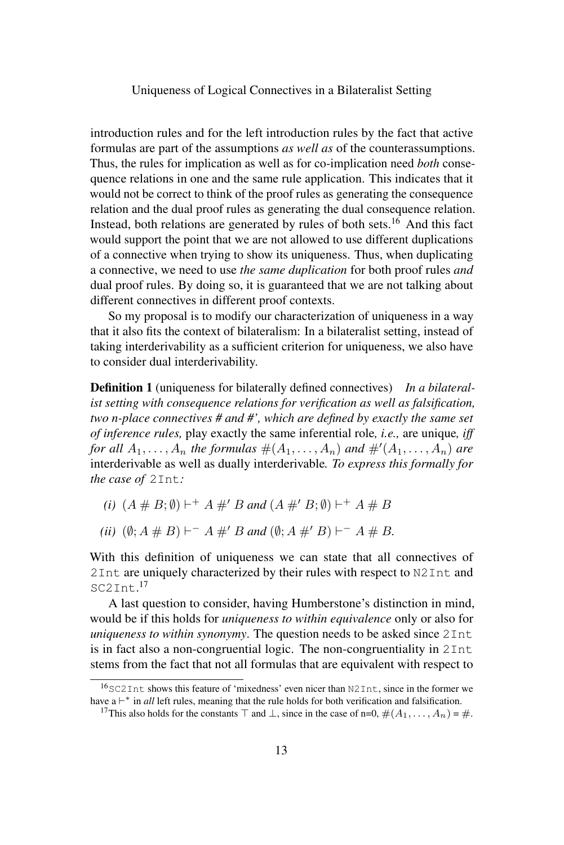introduction rules and for the left introduction rules by the fact that active formulas are part of the assumptions *as well as* of the counterassumptions. Thus, the rules for implication as well as for co-implication need *both* consequence relations in one and the same rule application. This indicates that it would not be correct to think of the proof rules as generating the consequence relation and the dual proof rules as generating the dual consequence relation. Instead, both relations are generated by rules of both sets.<sup>16</sup> And this fact would support the point that we are not allowed to use different duplications of a connective when trying to show its uniqueness. Thus, when duplicating a connective, we need to use *the same duplication* for both proof rules *and* dual proof rules. By doing so, it is guaranteed that we are not talking about different connectives in different proof contexts.

So my proposal is to modify our characterization of uniqueness in a way that it also fits the context of bilateralism: In a bilateralist setting, instead of taking interderivability as a sufficient criterion for uniqueness, we also have to consider dual interderivability.

Definition 1 (uniqueness for bilaterally defined connectives) *In a bilateralist setting with consequence relations for verification as well as falsification, two n-place connectives # and #', which are defined by exactly the same set of inference rules,* play exactly the same inferential role*, i.e.,* are unique*, iff for all*  $A_1, \ldots, A_n$  *the formulas*  $\#(A_1, \ldots, A_n)$  *and*  $\#'(A_1, \ldots, A_n)$  *are* interderivable as well as dually interderivable*. To express this formally for the case of* 2Int*:*

- *(i)*  $(A \# B; \emptyset) \vdash^+ A \#' B$  and  $(A \#' B; \emptyset) \vdash^+ A \# B$
- *(ii)*  $(\emptyset; A \# B) \vdash^{-} A \#' B$  and  $(\emptyset; A \#' B) \vdash^{-} A \# B$ .

With this definition of uniqueness we can state that all connectives of 2Int are uniquely characterized by their rules with respect to N2Int and SC2Int. 17

A last question to consider, having Humberstone's distinction in mind, would be if this holds for *uniqueness to within equivalence* only or also for *uniqueness to within synonymy*. The question needs to be asked since 2Int is in fact also a non-congruential logic. The non-congruentiality in 2Int stems from the fact that not all formulas that are equivalent with respect to

 $16$  SC2 Int shows this feature of 'mixedness' even nicer than N2 Int, since in the former we have  $a \vdash^*$  in *all* left rules, meaning that the rule holds for both verification and falsification.

<sup>&</sup>lt;sup>17</sup>This also holds for the constants  $\top$  and  $\bot$ , since in the case of n=0,  $\#(A_1, \ldots, A_n) = \#$ .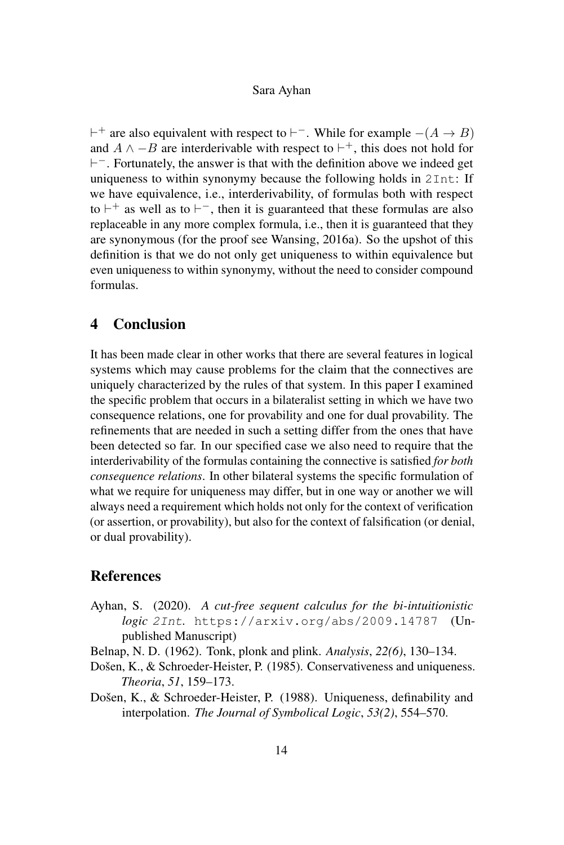$\vdash^+$  are also equivalent with respect to  $\vdash^-$ . While for example  $-(A \rightarrow B)$ and  $A \wedge -B$  are interderivable with respect to  $\vdash^+$ , this does not hold for  $\vdash$ <sup>-</sup>. Fortunately, the answer is that with the definition above we indeed get uniqueness to within synonymy because the following holds in 2Int: If we have equivalence, i.e., interderivability, of formulas both with respect to  $\vdash^+$  as well as to  $\vdash^-$ , then it is guaranteed that these formulas are also replaceable in any more complex formula, i.e., then it is guaranteed that they are synonymous (for the proof see Wansing, 2016a). So the upshot of this definition is that we do not only get uniqueness to within equivalence but even uniqueness to within synonymy, without the need to consider compound formulas.

## 4 Conclusion

It has been made clear in other works that there are several features in logical systems which may cause problems for the claim that the connectives are uniquely characterized by the rules of that system. In this paper I examined the specific problem that occurs in a bilateralist setting in which we have two consequence relations, one for provability and one for dual provability. The refinements that are needed in such a setting differ from the ones that have been detected so far. In our specified case we also need to require that the interderivability of the formulas containing the connective is satisfied *for both consequence relations*. In other bilateral systems the specific formulation of what we require for uniqueness may differ, but in one way or another we will always need a requirement which holds not only for the context of verification (or assertion, or provability), but also for the context of falsification (or denial, or dual provability).

# References

- Ayhan, S. (2020). *A cut-free sequent calculus for the bi-intuitionistic logic* 2Int*.* https://arxiv.org/abs/2009.14787 (Unpublished Manuscript)
- Belnap, N. D. (1962). Tonk, plonk and plink. *Analysis*, *22(6)*, 130–134.
- Došen, K., & Schroeder-Heister, P. (1985). Conservativeness and uniqueness. *Theoria*, *51*, 159–173.
- Došen, K., & Schroeder-Heister, P. (1988). Uniqueness, definability and interpolation. *The Journal of Symbolical Logic*, *53(2)*, 554–570.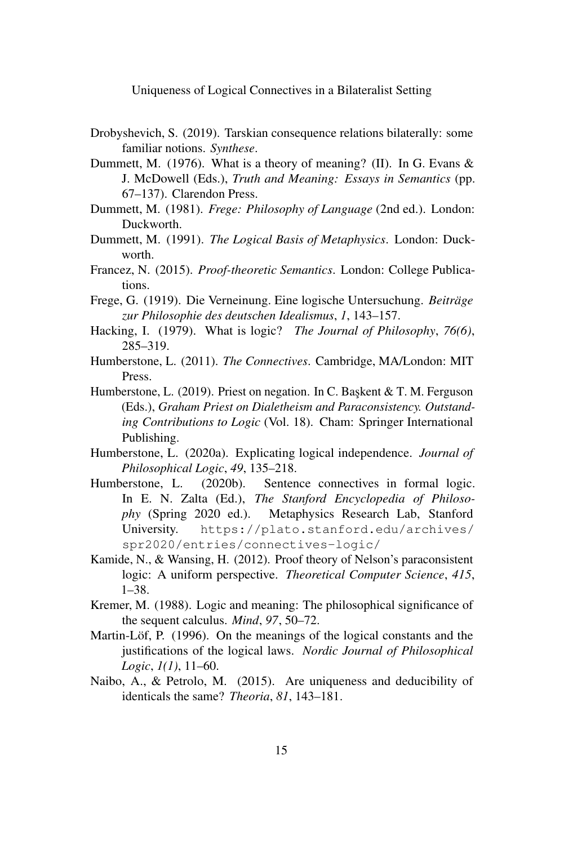- Drobyshevich, S. (2019). Tarskian consequence relations bilaterally: some familiar notions. *Synthese*.
- Dummett, M. (1976). What is a theory of meaning? (II). In G. Evans & J. McDowell (Eds.), *Truth and Meaning: Essays in Semantics* (pp. 67–137). Clarendon Press.
- Dummett, M. (1981). *Frege: Philosophy of Language* (2nd ed.). London: Duckworth.
- Dummett, M. (1991). *The Logical Basis of Metaphysics*. London: Duckworth.
- Francez, N. (2015). *Proof-theoretic Semantics*. London: College Publications.
- Frege, G. (1919). Die Verneinung. Eine logische Untersuchung. *Beiträge zur Philosophie des deutschen Idealismus*, *1*, 143–157.
- Hacking, I. (1979). What is logic? *The Journal of Philosophy*, *76(6)*, 285–319.
- Humberstone, L. (2011). *The Connectives*. Cambridge, MA/London: MIT Press.
- Humberstone, L. (2019). Priest on negation. In C. Başkent & T. M. Ferguson (Eds.), *Graham Priest on Dialetheism and Paraconsistency. Outstanding Contributions to Logic* (Vol. 18). Cham: Springer International Publishing.
- Humberstone, L. (2020a). Explicating logical independence. *Journal of Philosophical Logic*, *49*, 135–218.
- Humberstone, L. (2020b). Sentence connectives in formal logic. In E. N. Zalta (Ed.), *The Stanford Encyclopedia of Philosophy* (Spring 2020 ed.). Metaphysics Research Lab, Stanford University. https://plato.stanford.edu/archives/ spr2020/entries/connectives-logic/
- Kamide, N., & Wansing, H. (2012). Proof theory of Nelson's paraconsistent logic: A uniform perspective. *Theoretical Computer Science*, *415*, 1–38.
- Kremer, M. (1988). Logic and meaning: The philosophical significance of the sequent calculus. *Mind*, *97*, 50–72.
- Martin-Löf, P. (1996). On the meanings of the logical constants and the justifications of the logical laws. *Nordic Journal of Philosophical Logic*, *1(1)*, 11–60.
- Naibo, A., & Petrolo, M. (2015). Are uniqueness and deducibility of identicals the same? *Theoria*, *81*, 143–181.